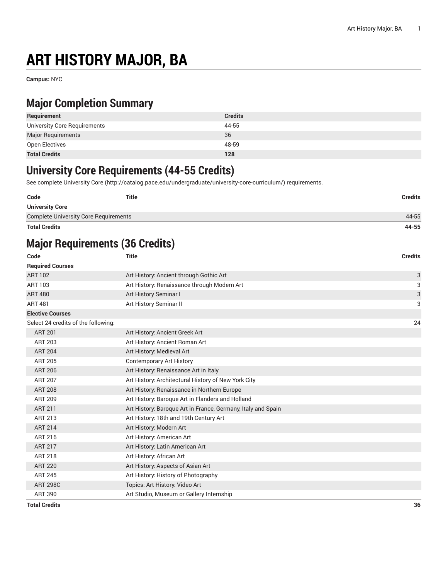# **ART HISTORY MAJOR, BA**

**Campus:** NYC

## **Major Completion Summary**

| Requirement                  | <b>Credits</b> |
|------------------------------|----------------|
| University Core Requirements | 44-55          |
| <b>Major Requirements</b>    | 36             |
| Open Electives               | 48-59          |
| <b>Total Credits</b>         | 128            |

#### **University Core Requirements (44-55 Credits)**

See complete [University](http://catalog.pace.edu/undergraduate/university-core-curriculum/) Core (<http://catalog.pace.edu/undergraduate/university-core-curriculum/>) requirements.

| Code                                         | Title | <b>Credits</b> |
|----------------------------------------------|-------|----------------|
| <b>University Core</b>                       |       |                |
| <b>Complete University Core Requirements</b> |       | 44-55          |
|                                              |       |                |

**Total Credits 44-55**

# **Major Requirements (36 Credits)**

| Code                                | <b>Title</b>                                                 | <b>Credits</b> |
|-------------------------------------|--------------------------------------------------------------|----------------|
| <b>Required Courses</b>             |                                                              |                |
| <b>ART 102</b>                      | Art History: Ancient through Gothic Art                      | 3              |
| ART 103                             | Art History: Renaissance through Modern Art                  | 3              |
| <b>ART 480</b>                      | Art History Seminar I                                        | 3              |
| <b>ART 481</b>                      | Art History Seminar II                                       | 3              |
| <b>Elective Courses</b>             |                                                              |                |
| Select 24 credits of the following: |                                                              | 24             |
| <b>ART 201</b>                      | Art History: Ancient Greek Art                               |                |
| <b>ART 203</b>                      | Art History: Ancient Roman Art                               |                |
| <b>ART 204</b>                      | Art History: Medieval Art                                    |                |
| <b>ART 205</b>                      | <b>Contemporary Art History</b>                              |                |
| <b>ART 206</b>                      | Art History: Renaissance Art in Italy                        |                |
| <b>ART 207</b>                      | Art History: Architectural History of New York City          |                |
| <b>ART 208</b>                      | Art History: Renaissance in Northern Europe                  |                |
| <b>ART 209</b>                      | Art History: Baroque Art in Flanders and Holland             |                |
| <b>ART 211</b>                      | Art History: Baroque Art in France, Germany, Italy and Spain |                |
| ART 213                             | Art History: 18th and 19th Century Art                       |                |
| <b>ART 214</b>                      | Art History: Modern Art                                      |                |
| ART 216                             | Art History: American Art                                    |                |
| <b>ART 217</b>                      | Art History: Latin American Art                              |                |
| <b>ART 218</b>                      | Art History: African Art                                     |                |
| <b>ART 220</b>                      | Art History: Aspects of Asian Art                            |                |
| <b>ART 245</b>                      | Art History: History of Photography                          |                |
| <b>ART 298C</b>                     | Topics: Art History: Video Art                               |                |
| <b>ART 390</b>                      | Art Studio, Museum or Gallery Internship                     |                |
| <b>Total Credits</b>                |                                                              | 36             |